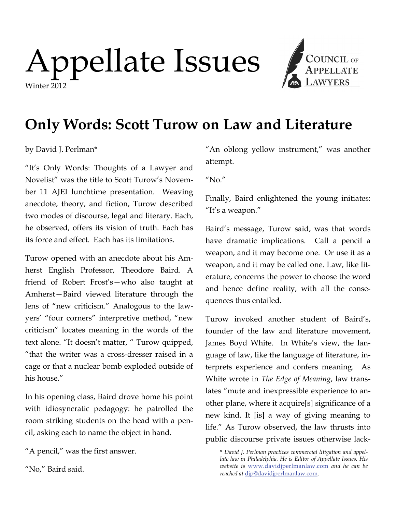# Appellate Issues Winter 2012



## **Only Words: Scott Turow on Law and Literature**

### by David J. Perlman\*

"It's Only Words: Thoughts of a Lawyer and Novelist" was the title to Scott Turow's November 11 AJEI lunchtime presentation. Weaving anecdote, theory, and fiction, Turow described two modes of discourse, legal and literary. Each, he observed, offers its vision of truth. Each has its force and effect. Each has its limitations.

Turow opened with an anecdote about his Amherst English Professor, Theodore Baird. A friend of Robert Frost's—who also taught at Amherst—Baird viewed literature through the lens of "new criticism." Analogous to the lawyers' "four corners" interpretive method, "new criticism" locates meaning in the words of the text alone. "It doesn't matter, " Turow quipped, "that the writer was a cross-dresser raised in a cage or that a nuclear bomb exploded outside of his house."

In his opening class, Baird drove home his point with idiosyncratic pedagogy: he patrolled the room striking students on the head with a pencil, asking each to name the object in hand.

"A pencil," was the first answer.

"No," Baird said.

"An oblong yellow instrument," was another attempt.

 $"No."$ 

Finally, Baird enlightened the young initiates: "It's a weapon."

Baird's message, Turow said, was that words have dramatic implications. Call a pencil a weapon, and it may become one. Or use it as a weapon, and it may be called one. Law, like literature, concerns the power to choose the word and hence define reality, with all the consequences thus entailed.

Turow invoked another student of Baird's, founder of the law and literature movement, James Boyd White. In White's view, the language of law, like the language of literature, interprets experience and confers meaning. As White wrote in *The Edge of Meaning*, law translates "mute and inexpressible experience to another plane, where it acquire[s] significance of a new kind. It [is] a way of giving meaning to life." As Turow observed, the law thrusts into public discourse private issues otherwise lack-

\* *David J. Perlman practices commercial litigation and appellate law in Philadelphia. He is Editor of Appellate Issues. His website is* [www.davidjperlmanlaw.com](http://www.davidjperlmanlaw.com) *and he can be reached at* [djp@davidjperlmanlaw.com](mailto:djp@davidjperlmanlaw.com).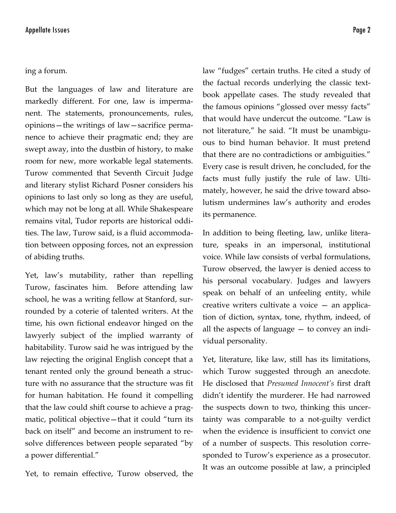#### ing a forum.

But the languages of law and literature are markedly different. For one, law is impermanent. The statements, pronouncements, rules, opinions—the writings of law—sacrifice permanence to achieve their pragmatic end; they are swept away, into the dustbin of history, to make room for new, more workable legal statements. Turow commented that Seventh Circuit Judge and literary stylist Richard Posner considers his opinions to last only so long as they are useful, which may not be long at all. While Shakespeare remains vital, Tudor reports are historical oddities. The law, Turow said, is a fluid accommodation between opposing forces, not an expression of abiding truths.

Yet, law's mutability, rather than repelling Turow, fascinates him. Before attending law school, he was a writing fellow at Stanford, surrounded by a coterie of talented writers. At the time, his own fictional endeavor hinged on the lawyerly subject of the implied warranty of habitability. Turow said he was intrigued by the law rejecting the original English concept that a tenant rented only the ground beneath a structure with no assurance that the structure was fit for human habitation. He found it compelling that the law could shift course to achieve a pragmatic, political objective—that it could "turn its back on itself" and become an instrument to resolve differences between people separated "by a power differential."

Yet, to remain effective, Turow observed, the

law "fudges" certain truths. He cited a study of the factual records underlying the classic textbook appellate cases. The study revealed that the famous opinions "glossed over messy facts" that would have undercut the outcome. "Law is not literature," he said. "It must be unambiguous to bind human behavior. It must pretend that there are no contradictions or ambiguities." Every case is result driven, he concluded, for the facts must fully justify the rule of law. Ultimately, however, he said the drive toward absolutism undermines law's authority and erodes its permanence.

In addition to being fleeting, law, unlike literature, speaks in an impersonal, institutional voice. While law consists of verbal formulations, Turow observed, the lawyer is denied access to his personal vocabulary. Judges and lawyers speak on behalf of an unfeeling entity, while creative writers cultivate a voice — an application of diction, syntax, tone, rhythm, indeed, of all the aspects of language  $-$  to convey an individual personality.

Yet, literature, like law, still has its limitations, which Turow suggested through an anecdote. He disclosed that *Presumed Innocent's* first draft didn't identify the murderer. He had narrowed the suspects down to two, thinking this uncertainty was comparable to a not-guilty verdict when the evidence is insufficient to convict one of a number of suspects. This resolution corresponded to Turow's experience as a prosecutor. It was an outcome possible at law, a principled